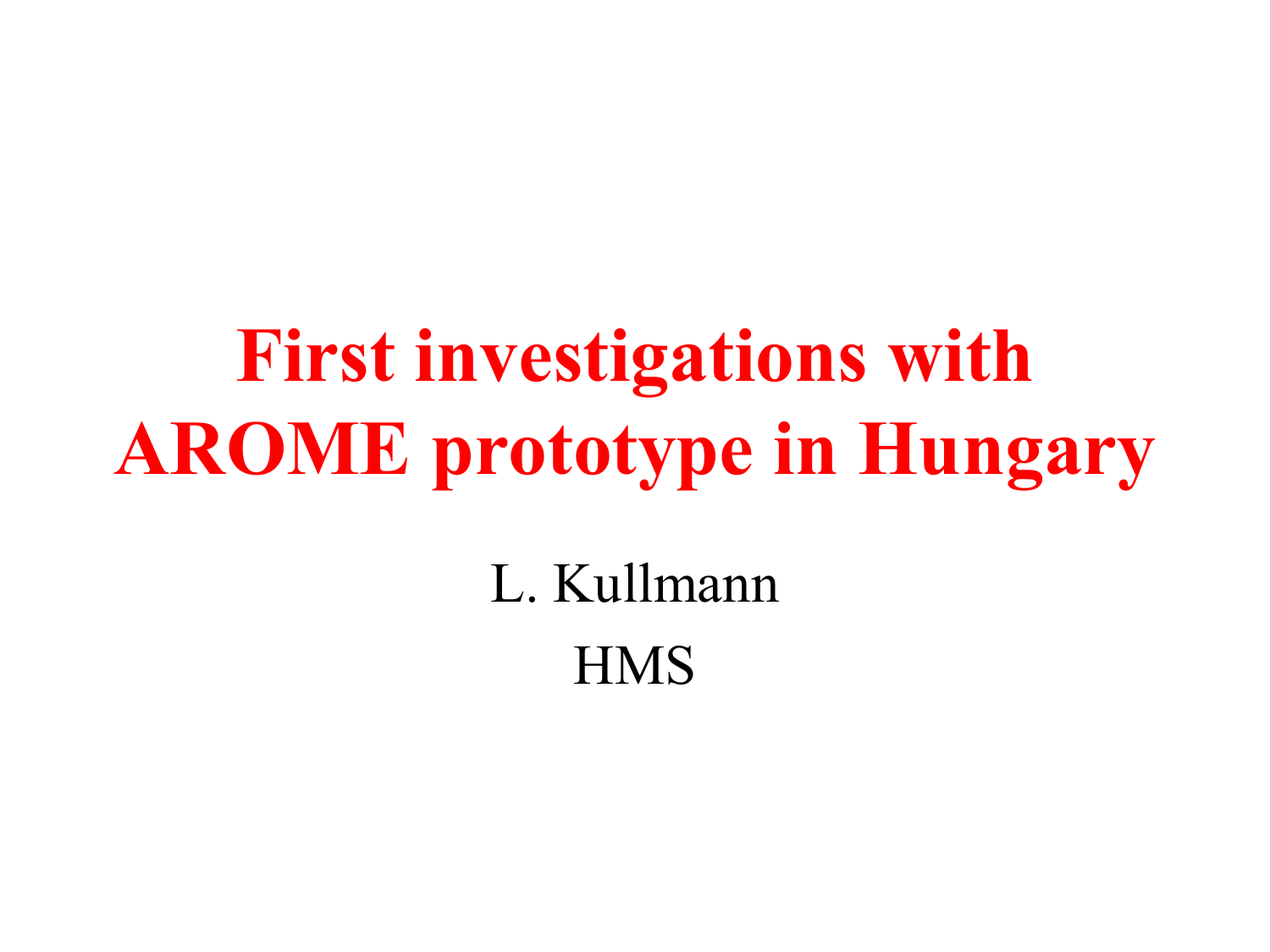## **First investigations with AROME prototype in Hungary**

L. Kullmann **HMS**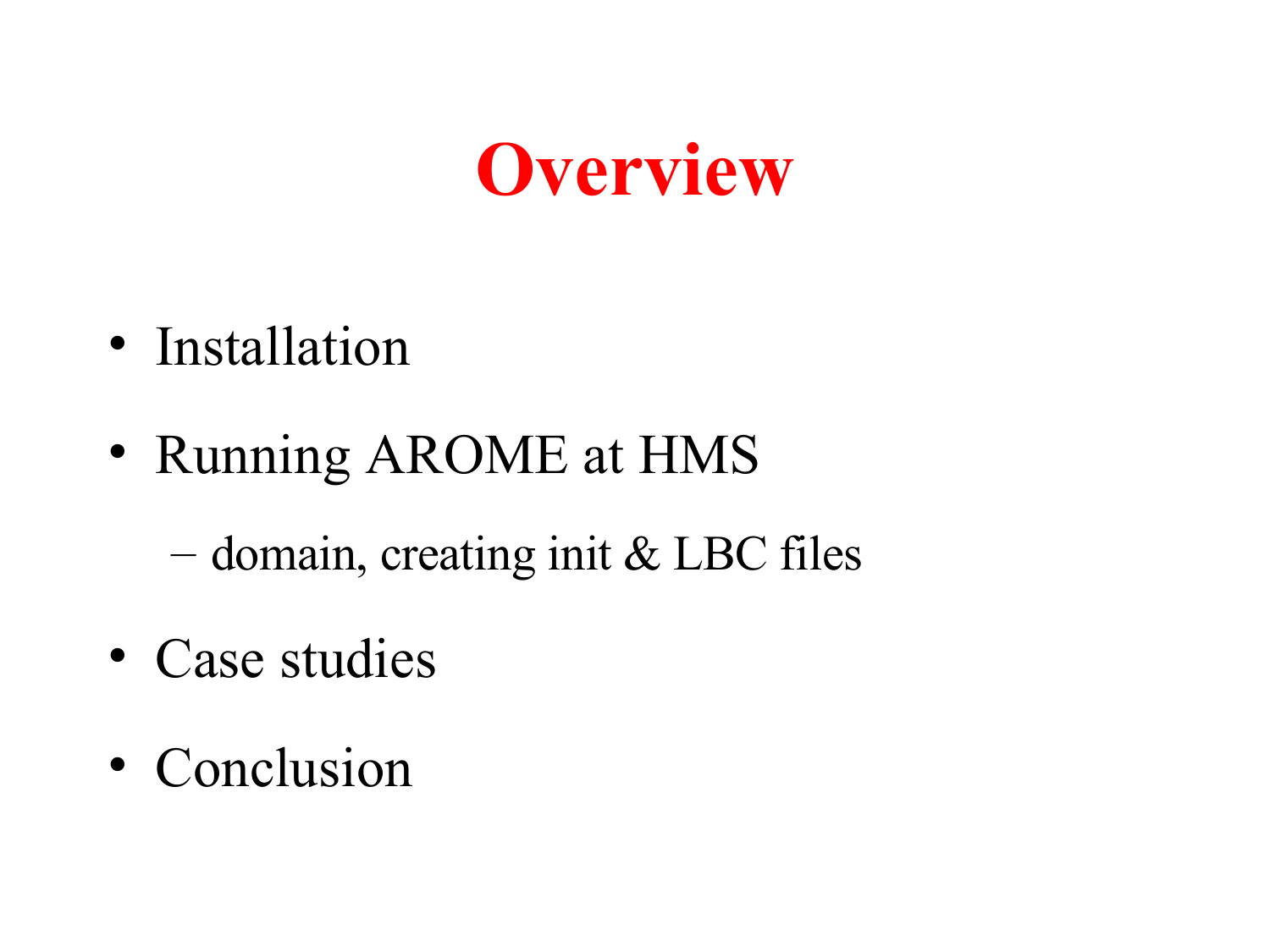### **Overview**

- Installation
- Running AROME at HMS

– domain, creating init & LBC files

- Case studies
- Conclusion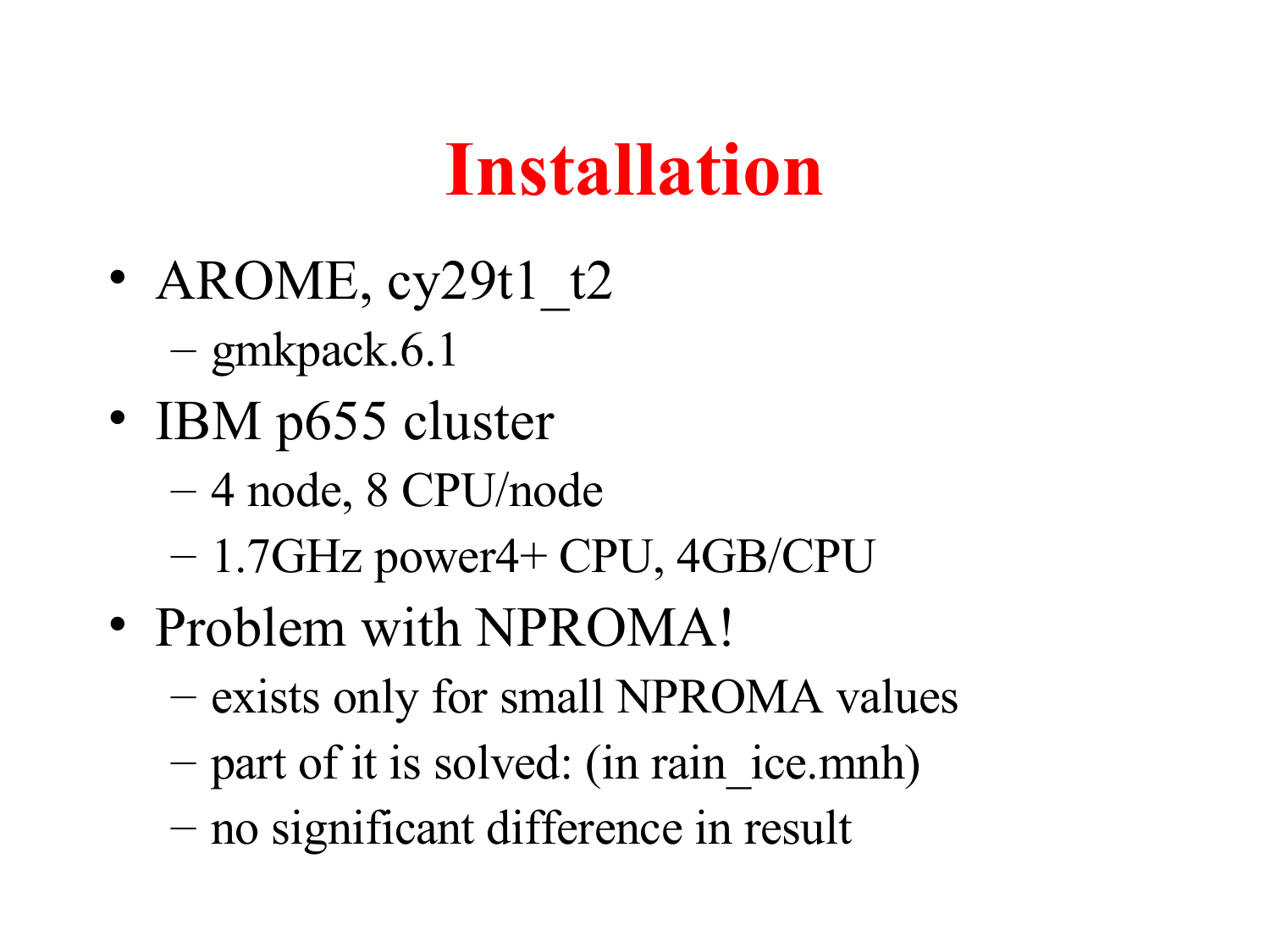### **Installation**

- AROME,  $cy29t1$   $t2$ – gmkpack.6.1
- IBM p655 cluster
	- 4 node, 8 CPU/node
	- 1.7GHz power4+ CPU, 4GB/CPU
- Problem with NPROMA!
	- exists only for small NPROMA values
	- part of it is solved: (in rain ice.mnh)
	- no significant difference in result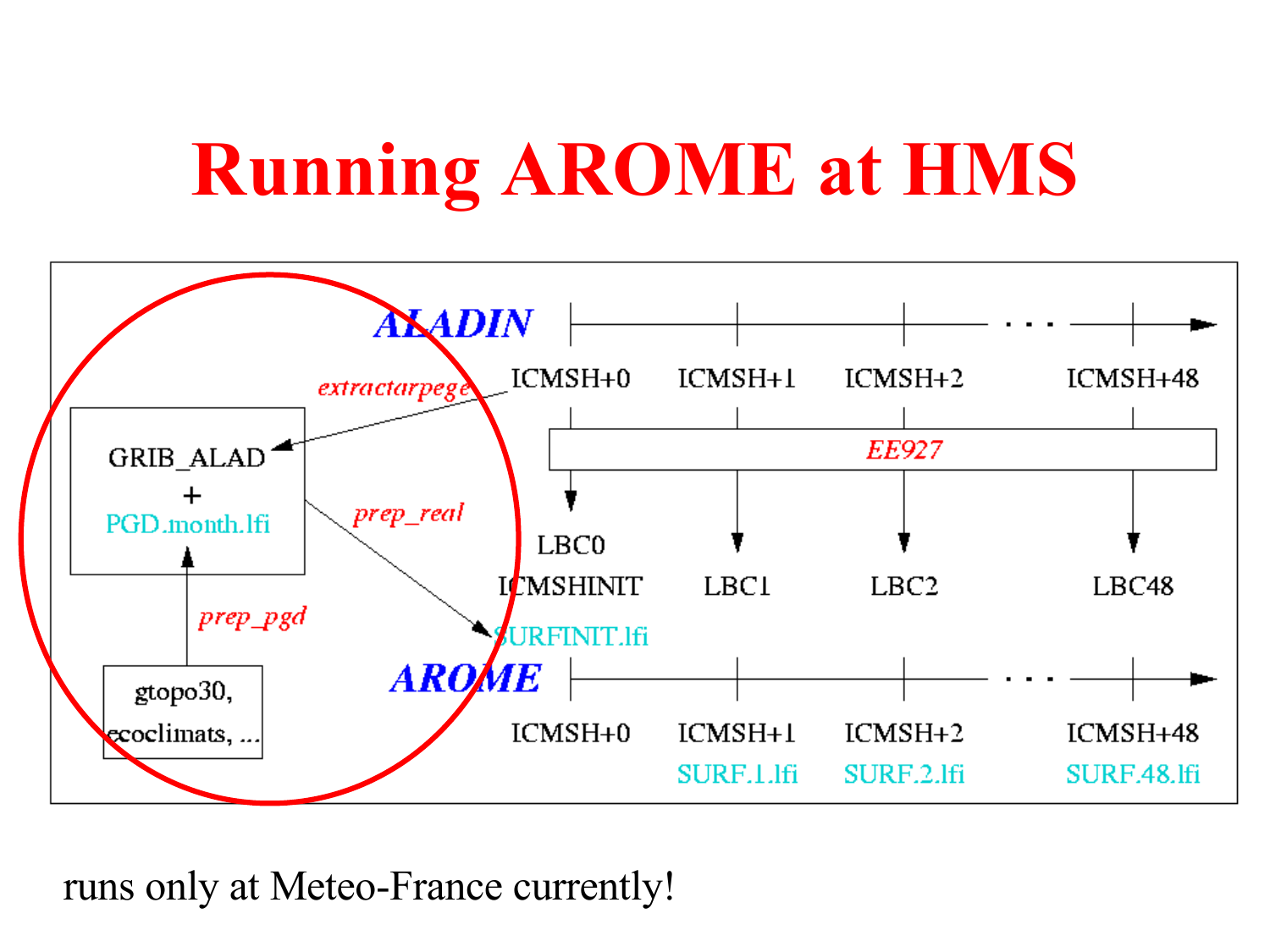# **Running AROME at HMS**



runs only at Meteo-France currently!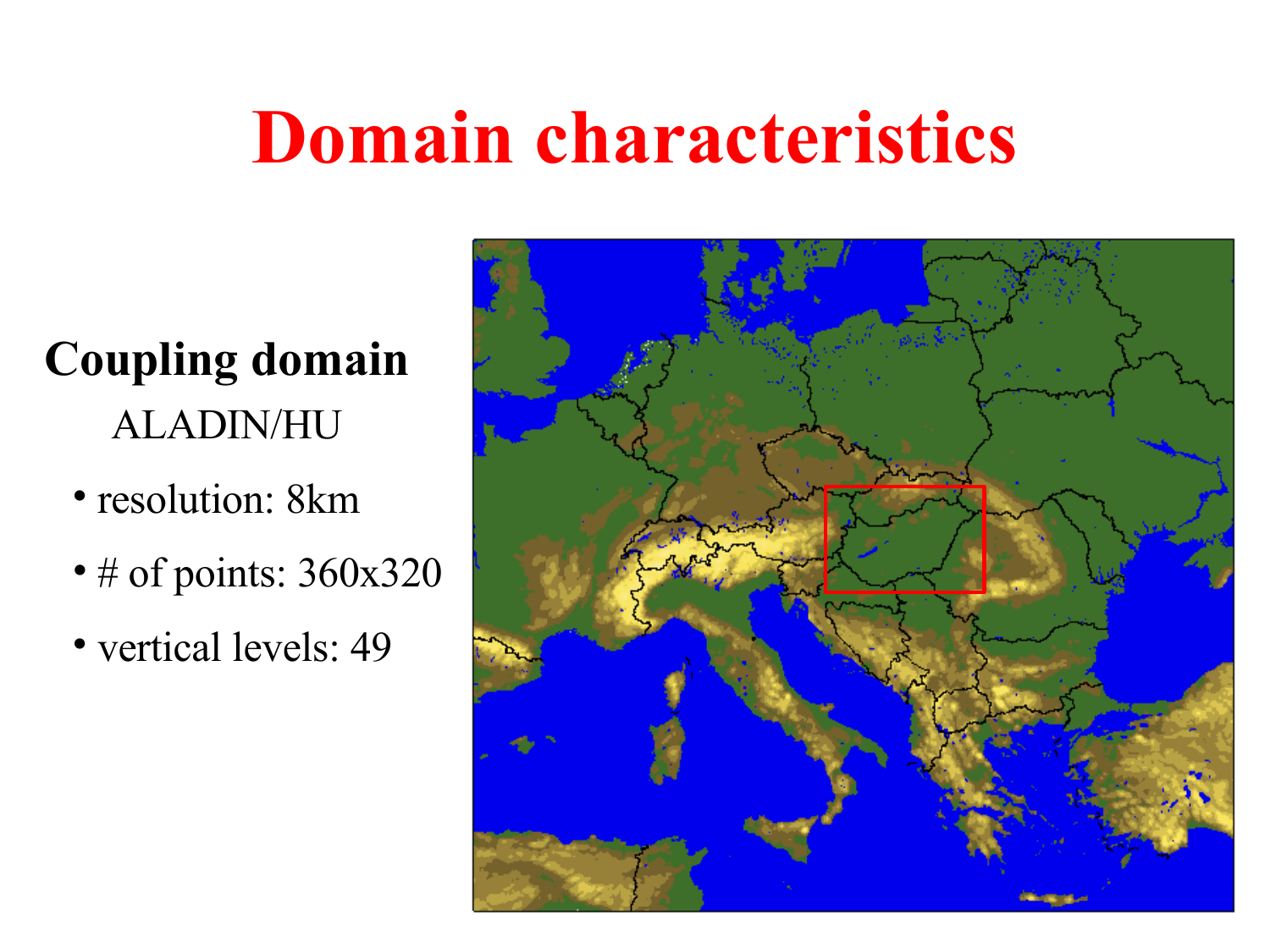### **Domain characteristics**

### **Coupling domain** ALADIN/HU

- resolution: 8km
- # of points: 360x320
- vertical levels: 49

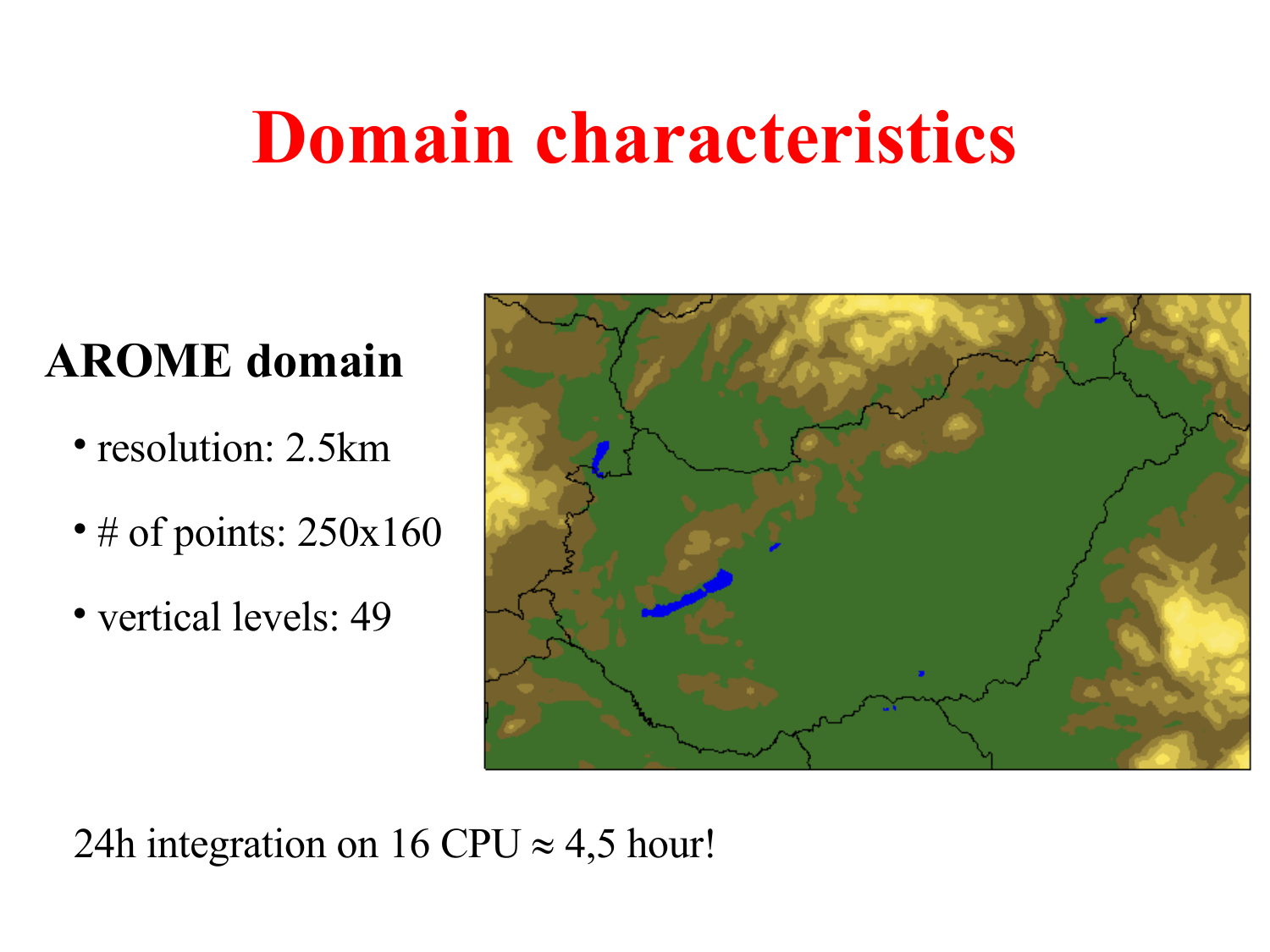### **Domain characteristics**

#### **AROME domain**

- resolution: 2.5km
- # of points: 250x160
- vertical levels: 49



24h integration on 16 CPU  $\approx$  4,5 hour!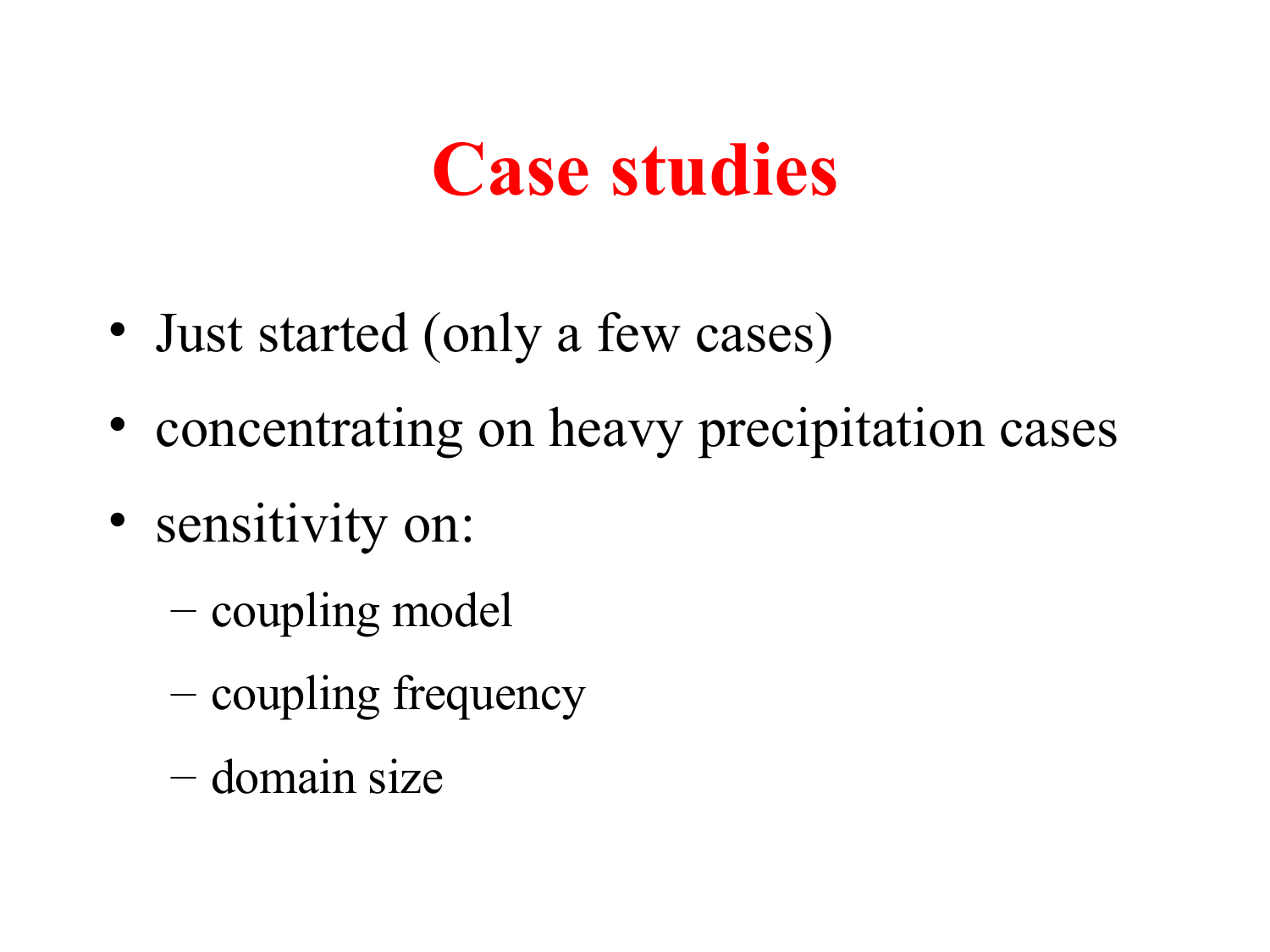### **Case studies**

- Just started (only a few cases)
- concentrating on heavy precipitation cases
- sensitivity on:
	- coupling model
	- coupling frequency
	- domain size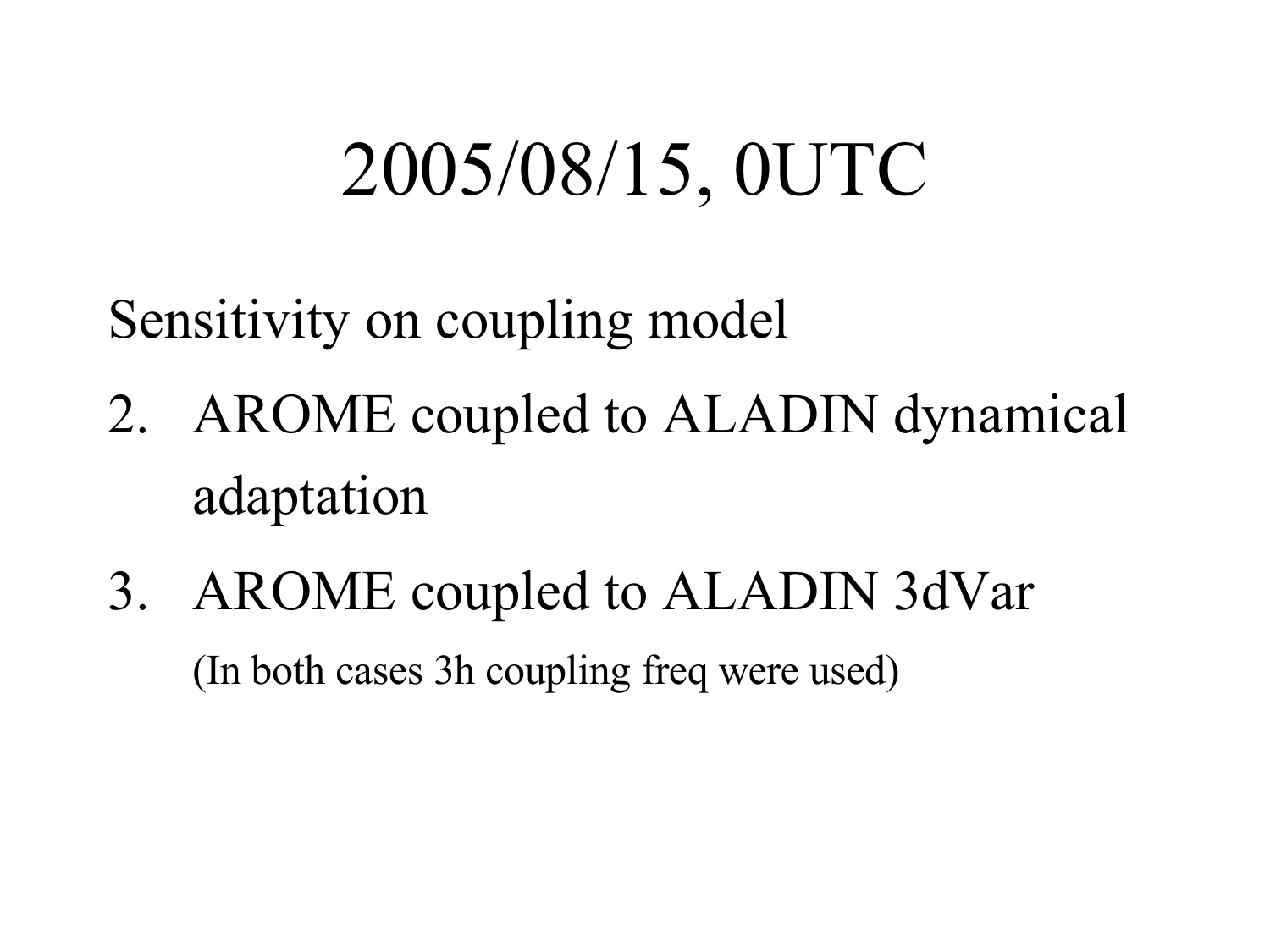## 2005/08/15, 0UTC

Sensitivity on coupling model

- 2. AROME coupled to ALADIN dynamical adaptation
- 3. AROME coupled to ALADIN 3dVar (In both cases 3h coupling freq were used)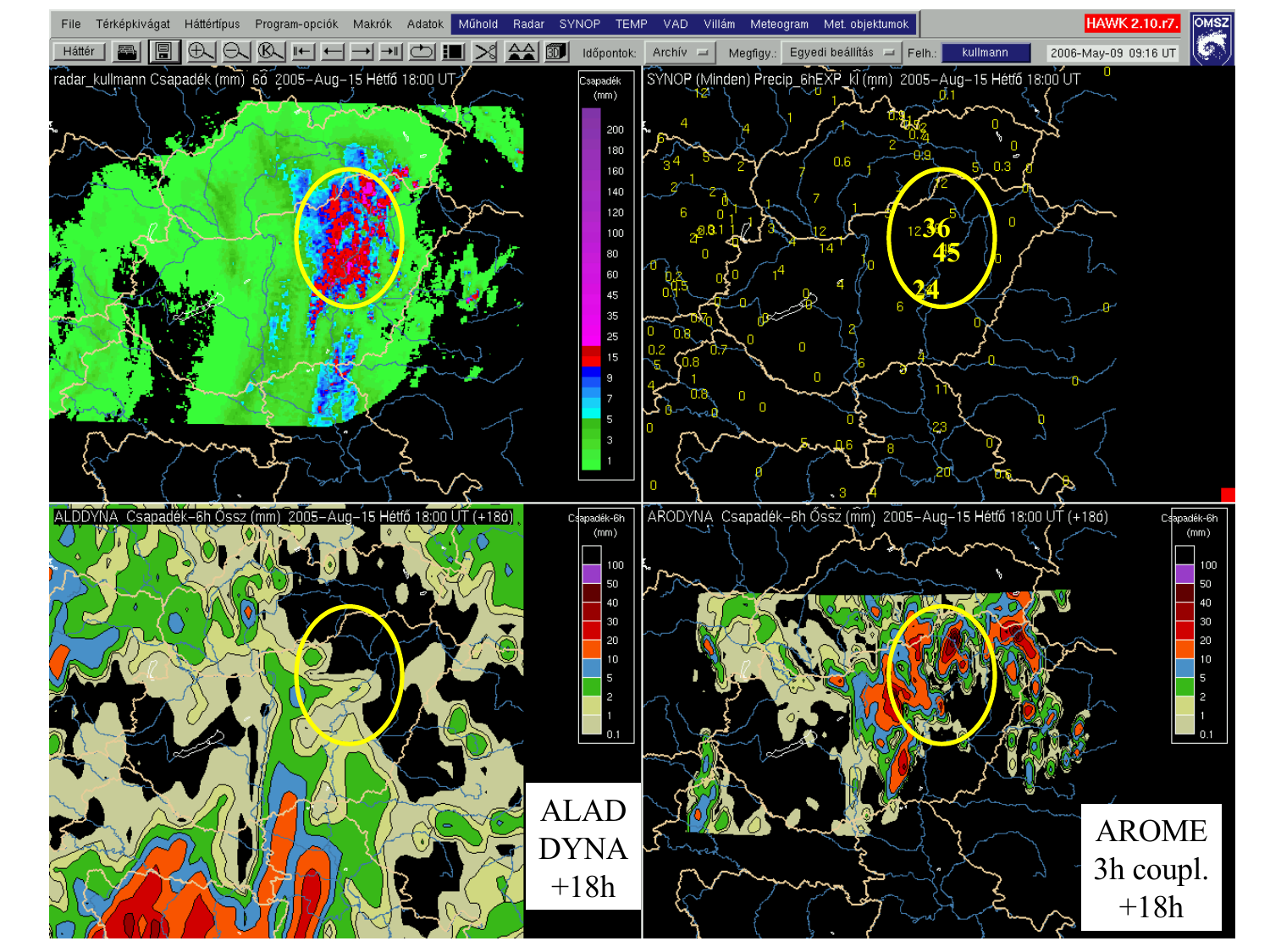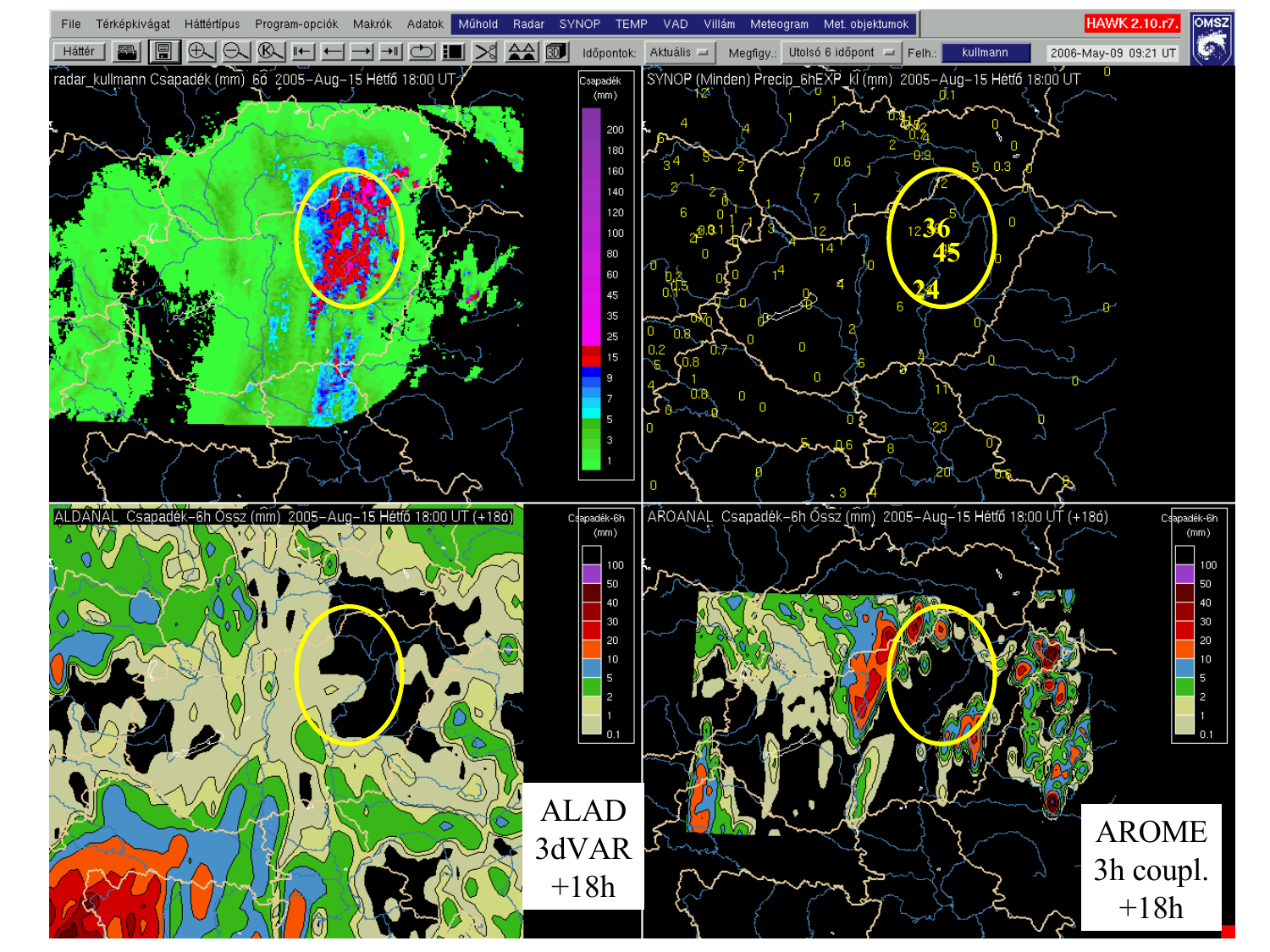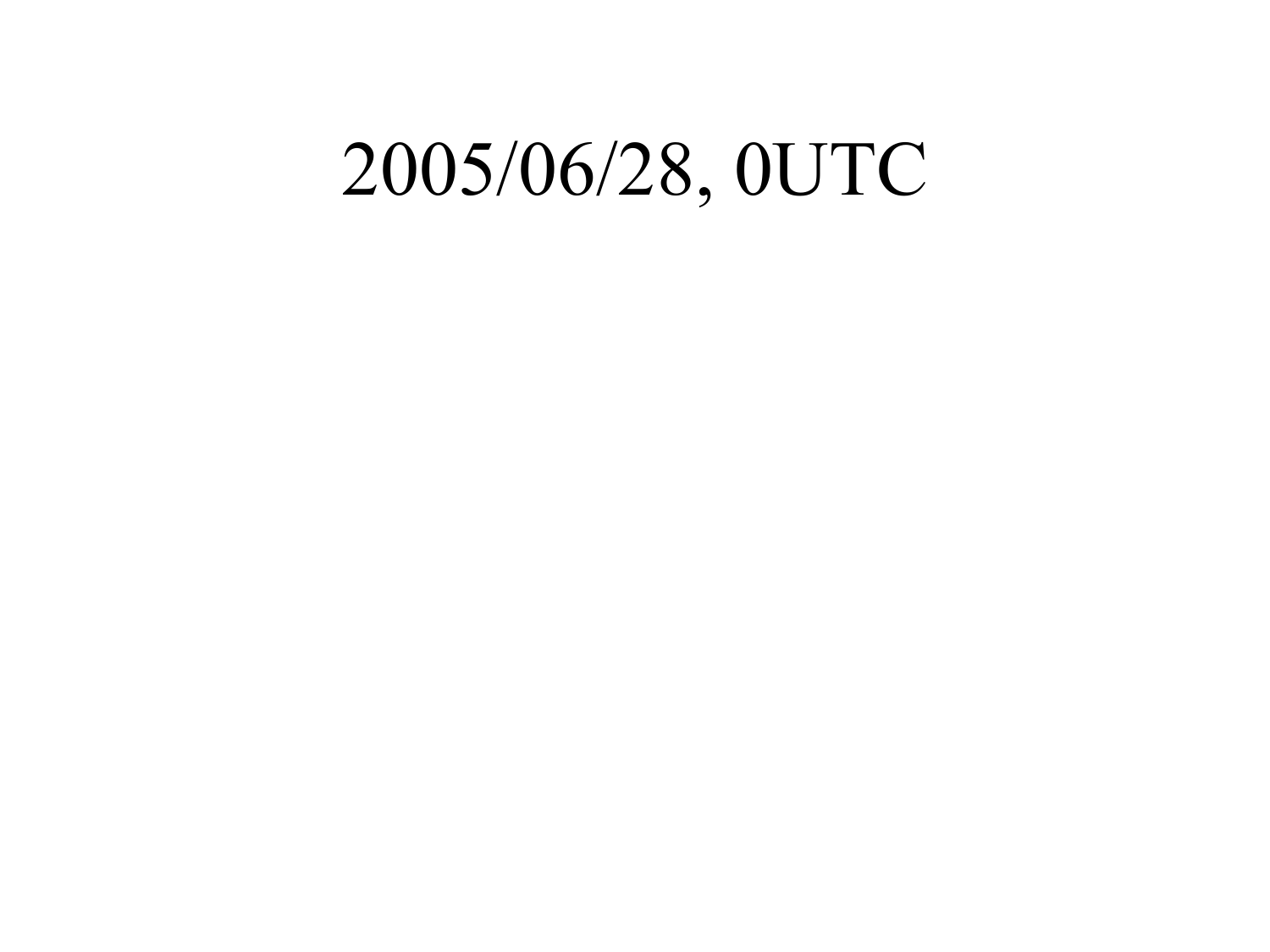### 2005/06/28, 0UTC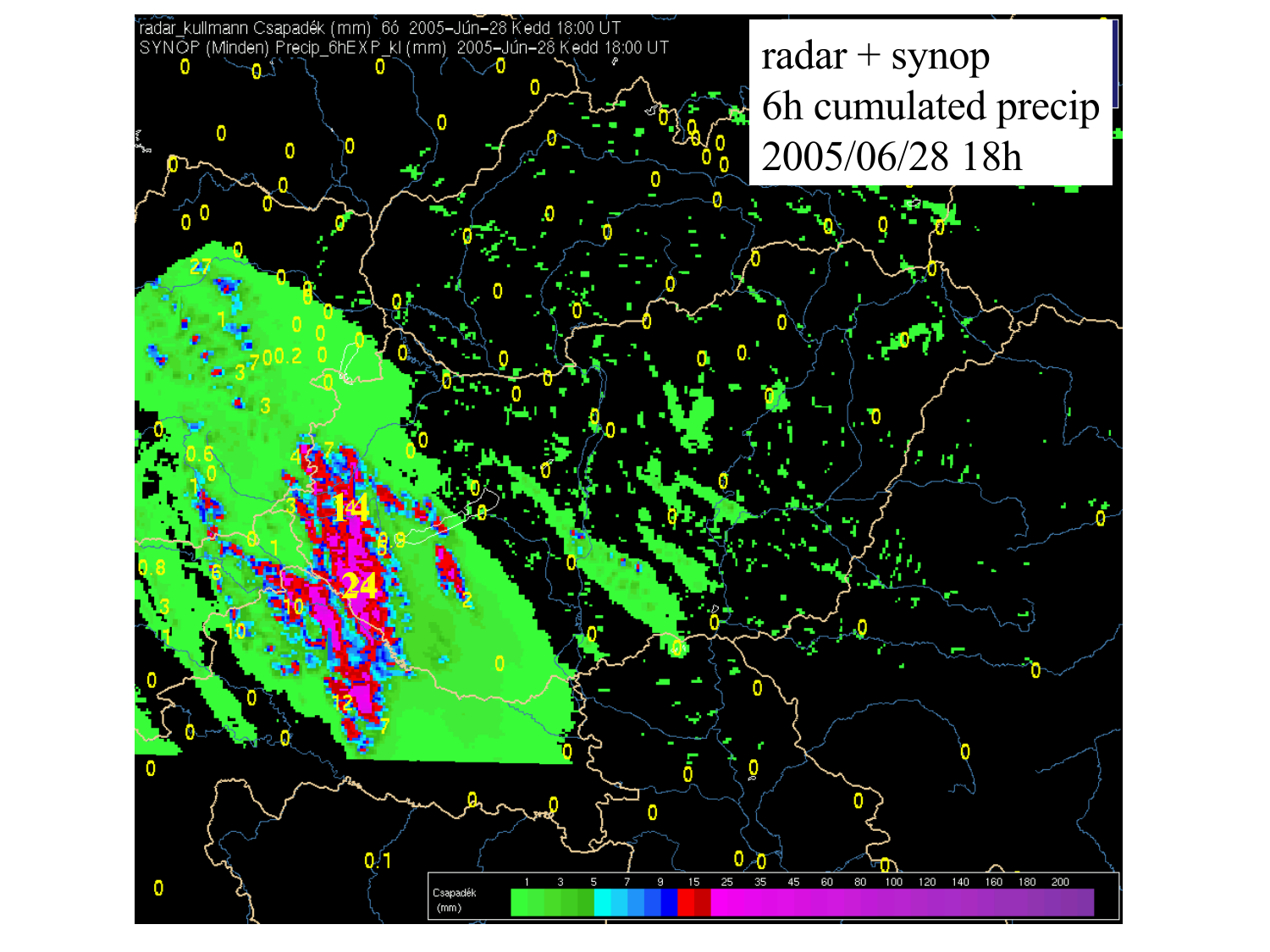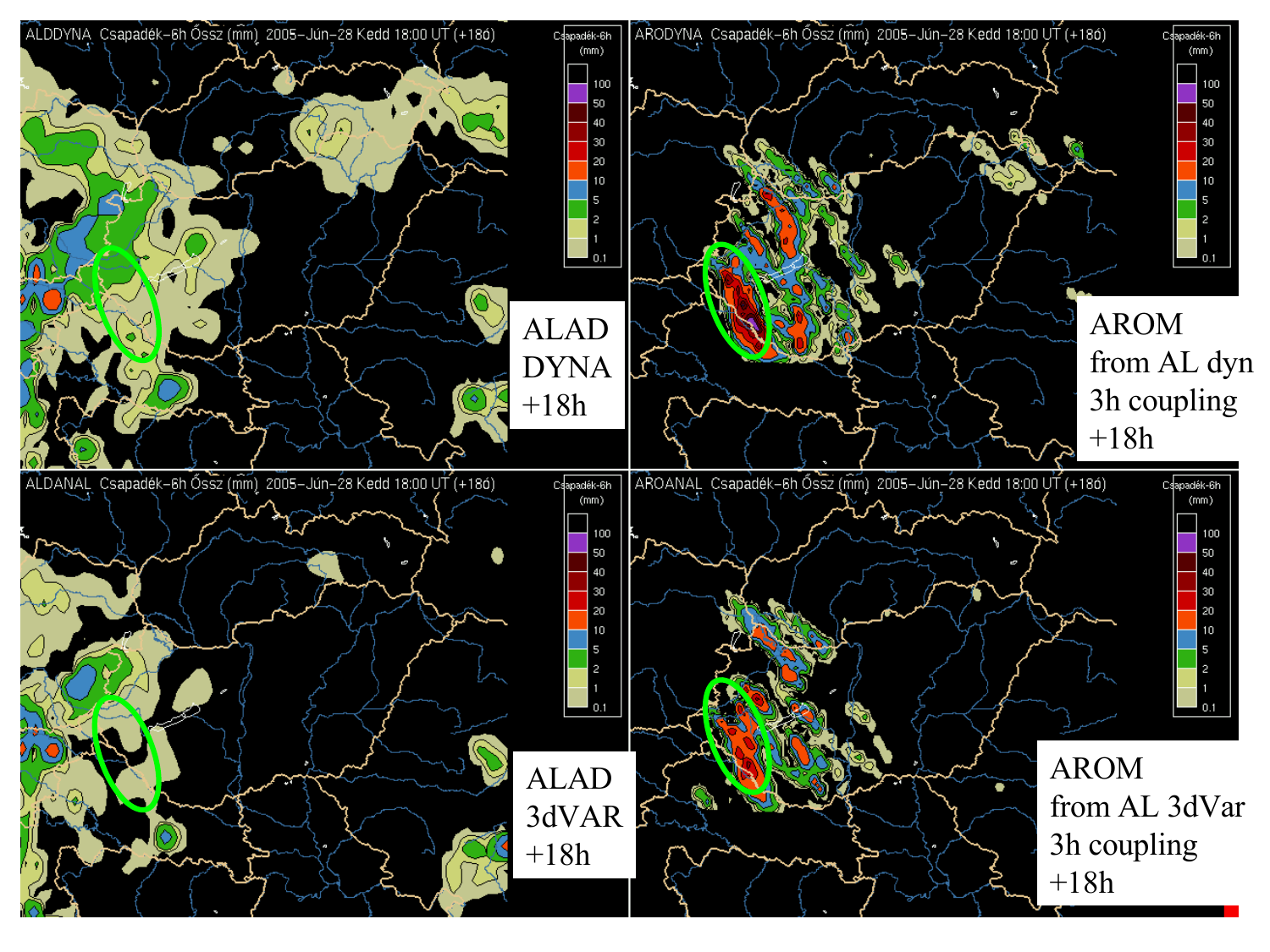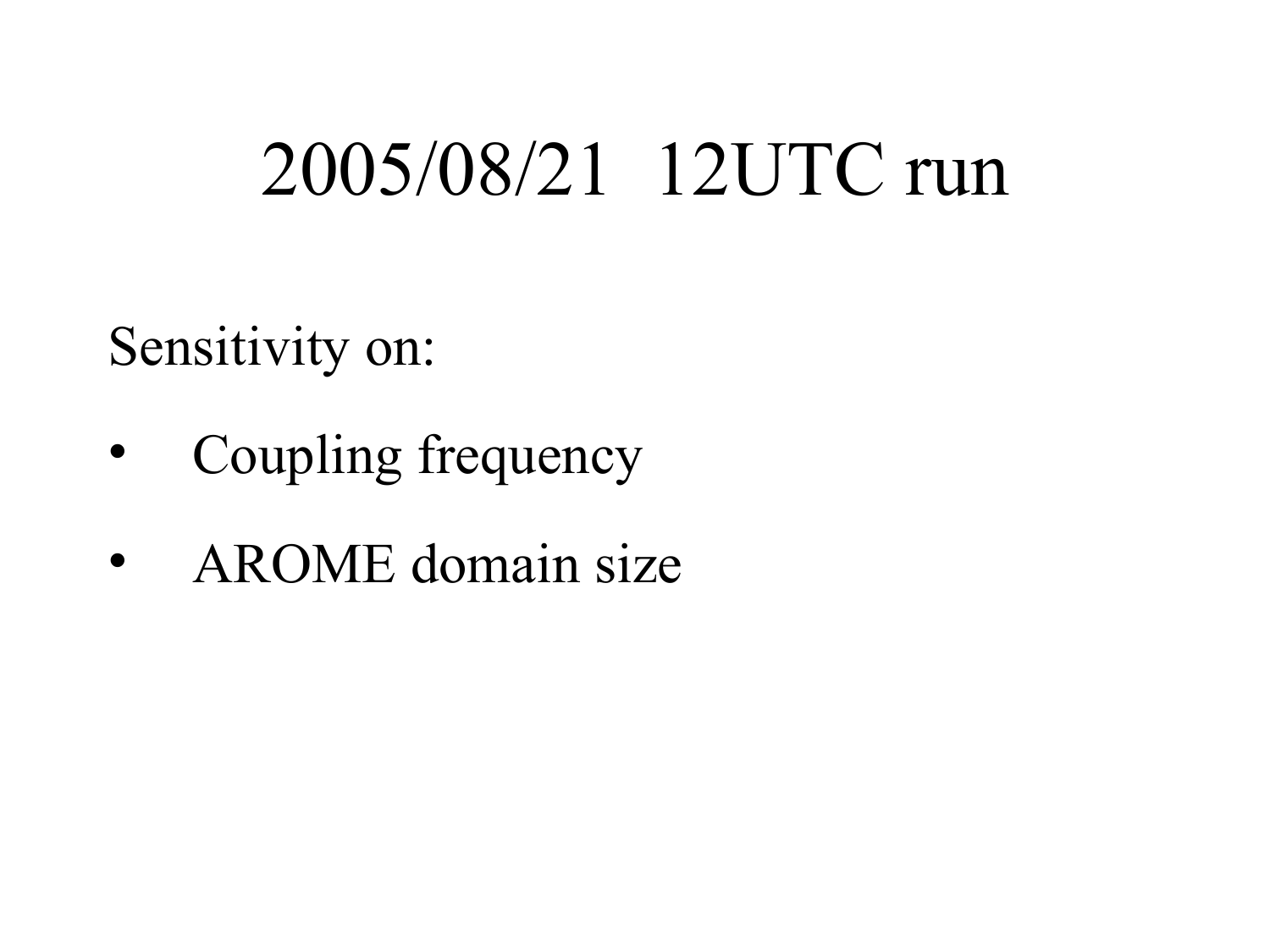## 2005/08/21 12UTC run

Sensitivity on:

- Coupling frequency
- AROME domain size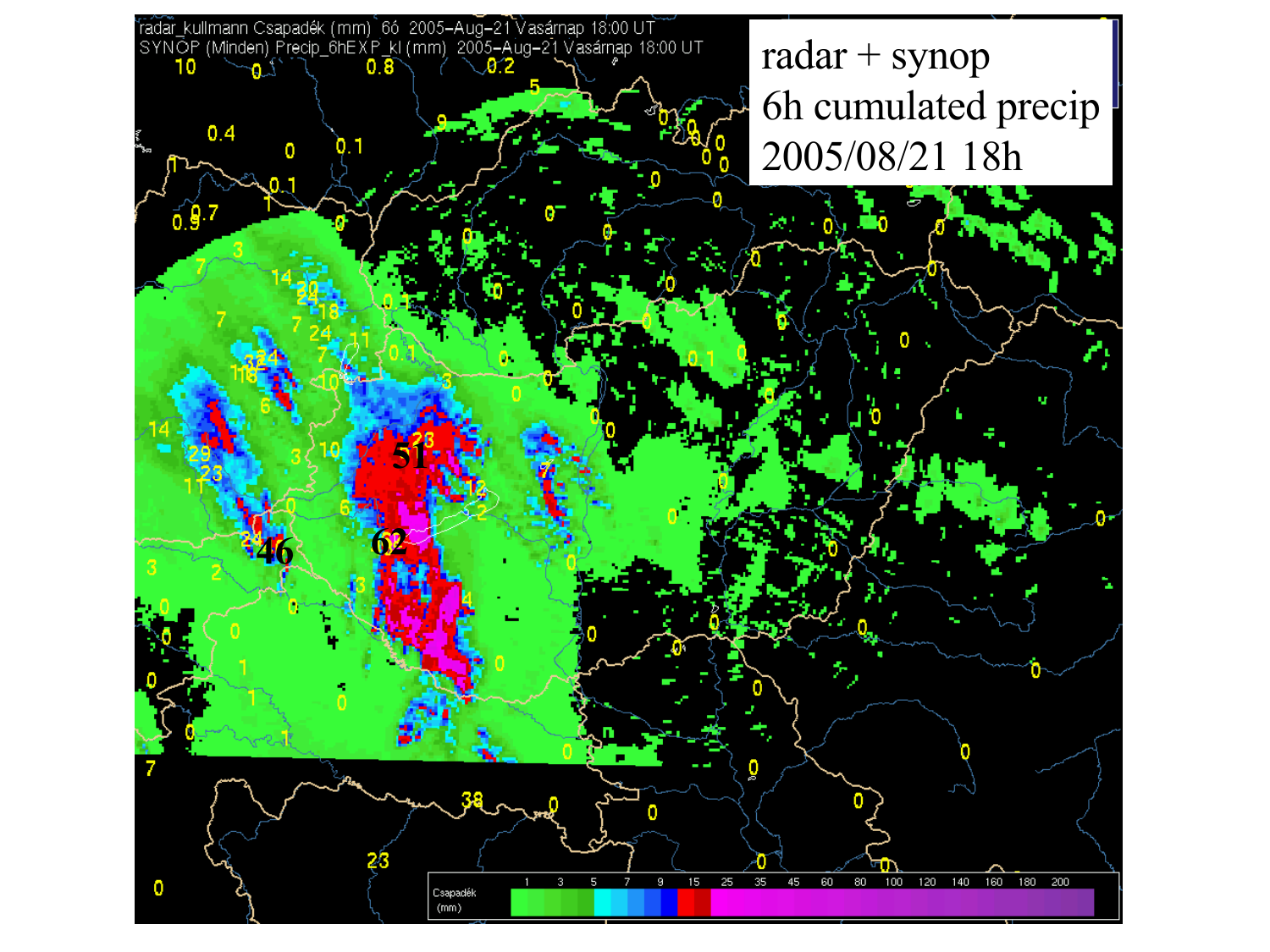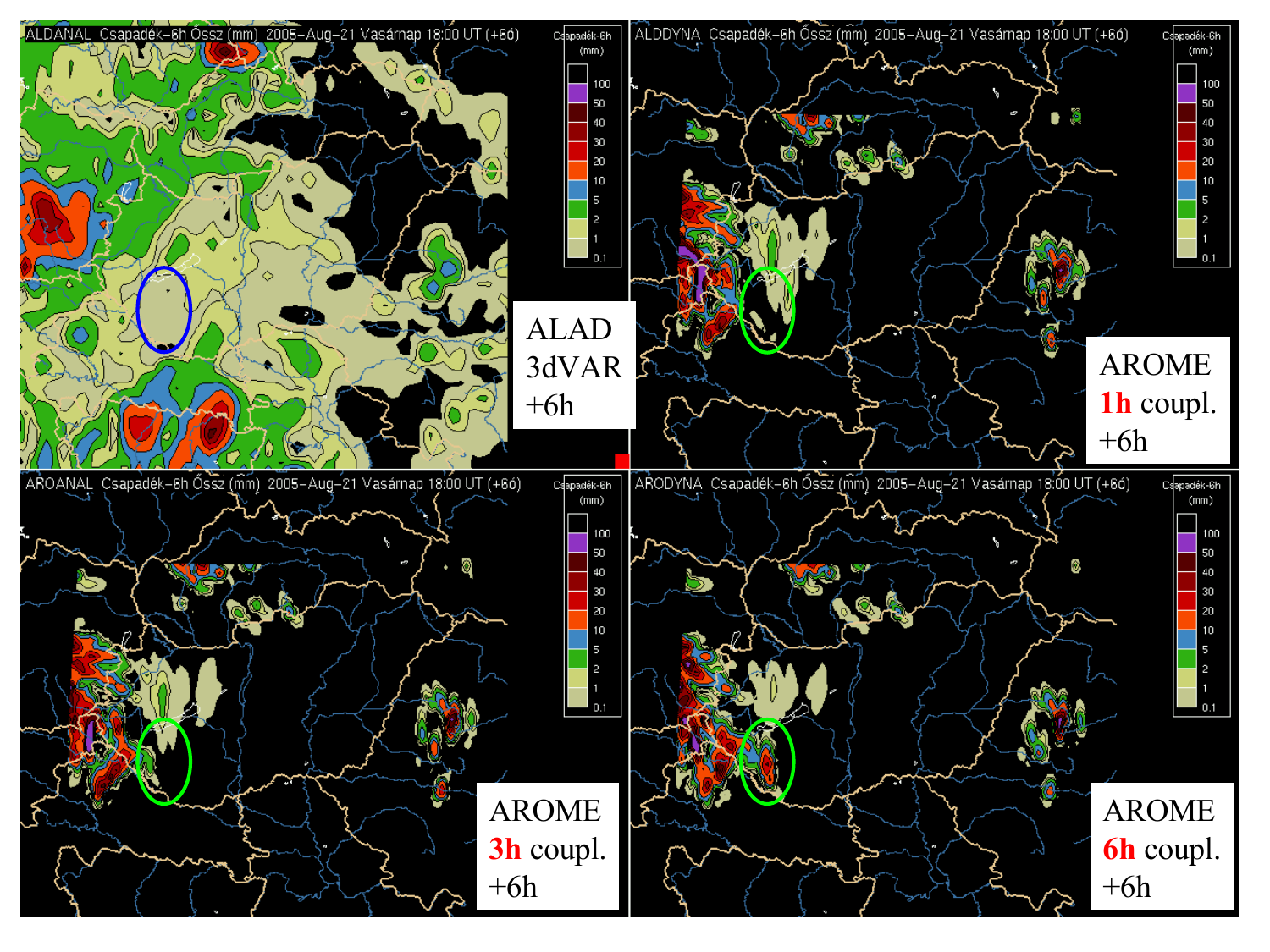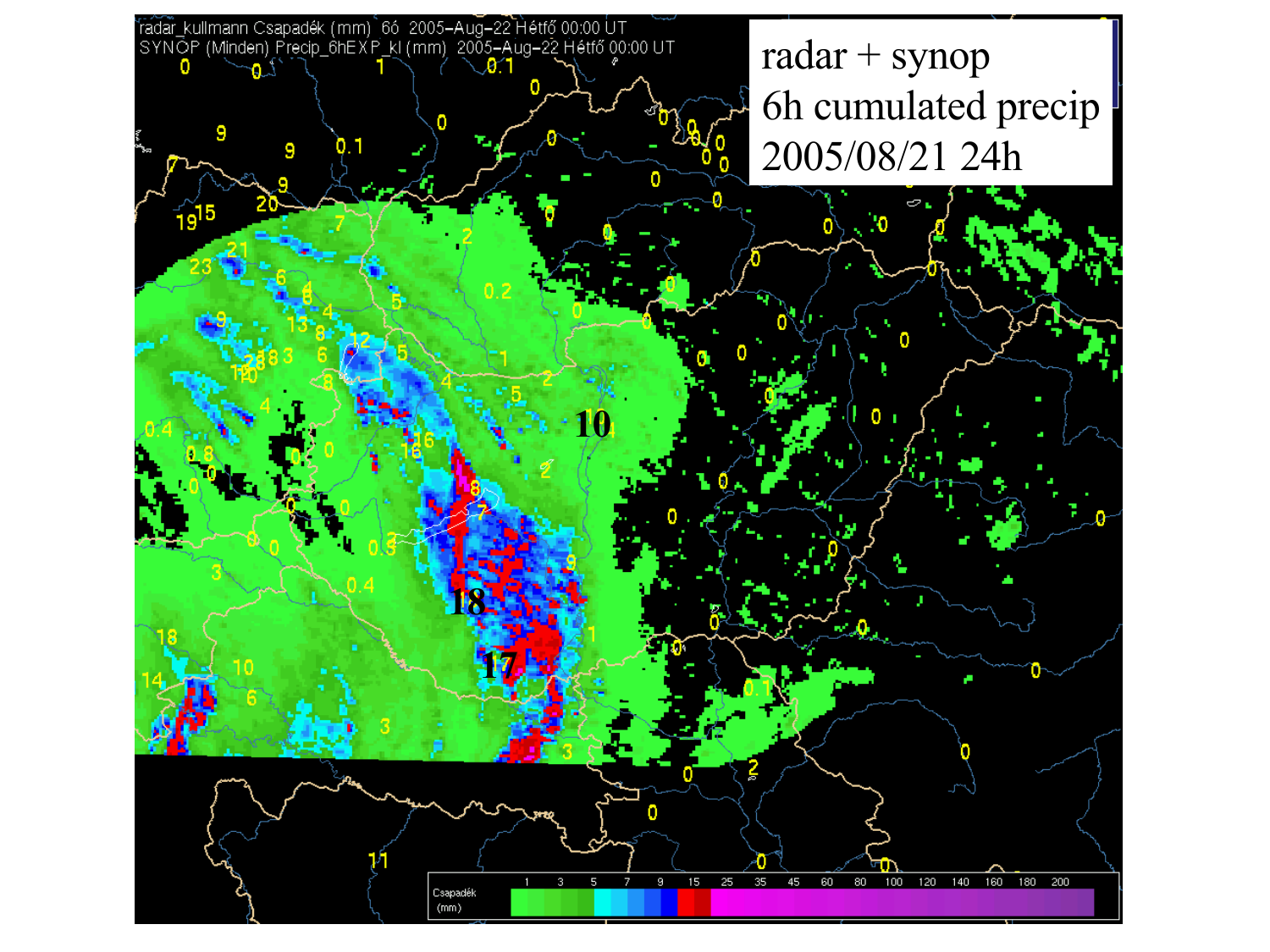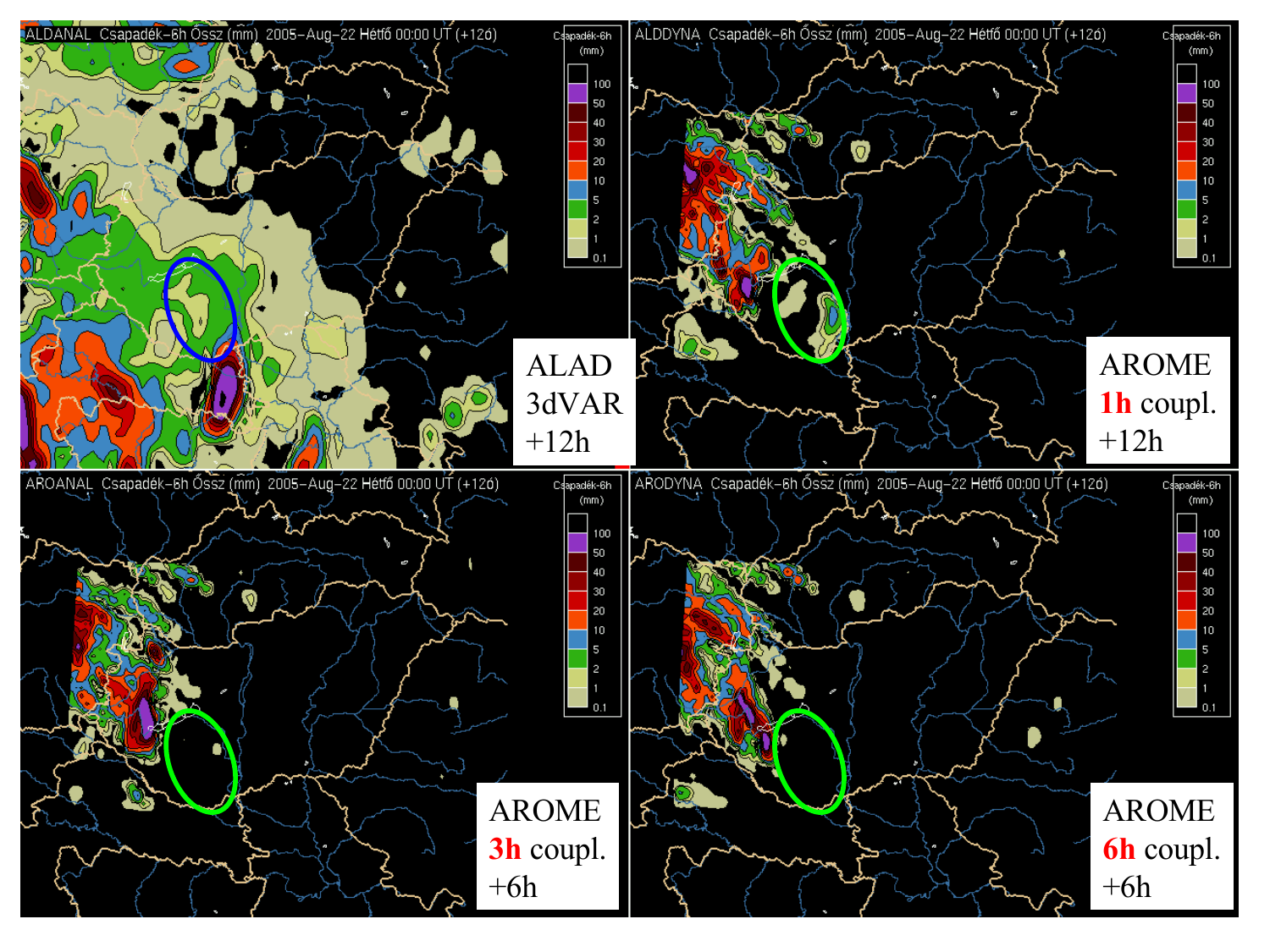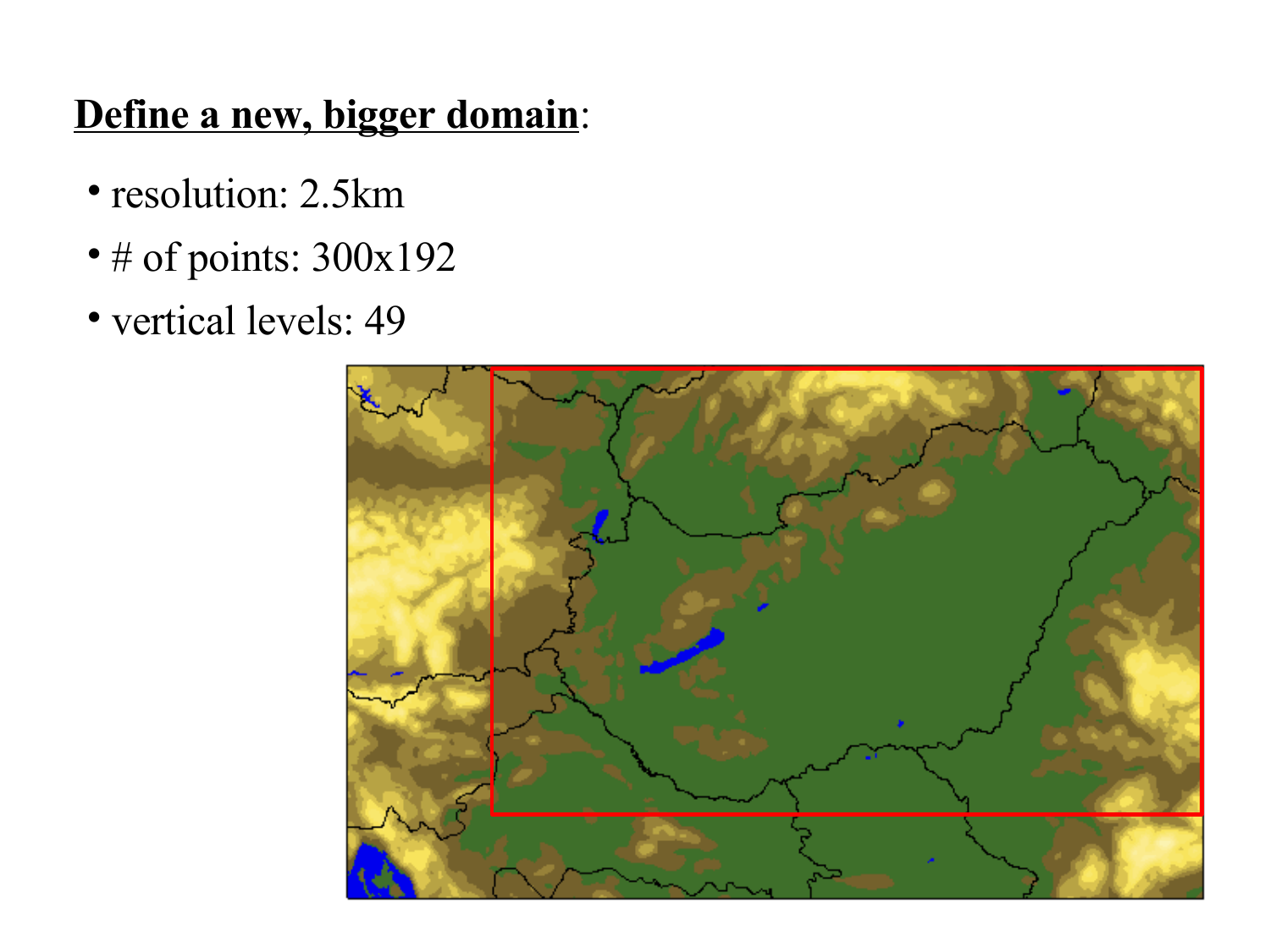#### **Define a new, bigger domain**:

- resolution: 2.5km
- # of points: 300x192
- vertical levels: 49

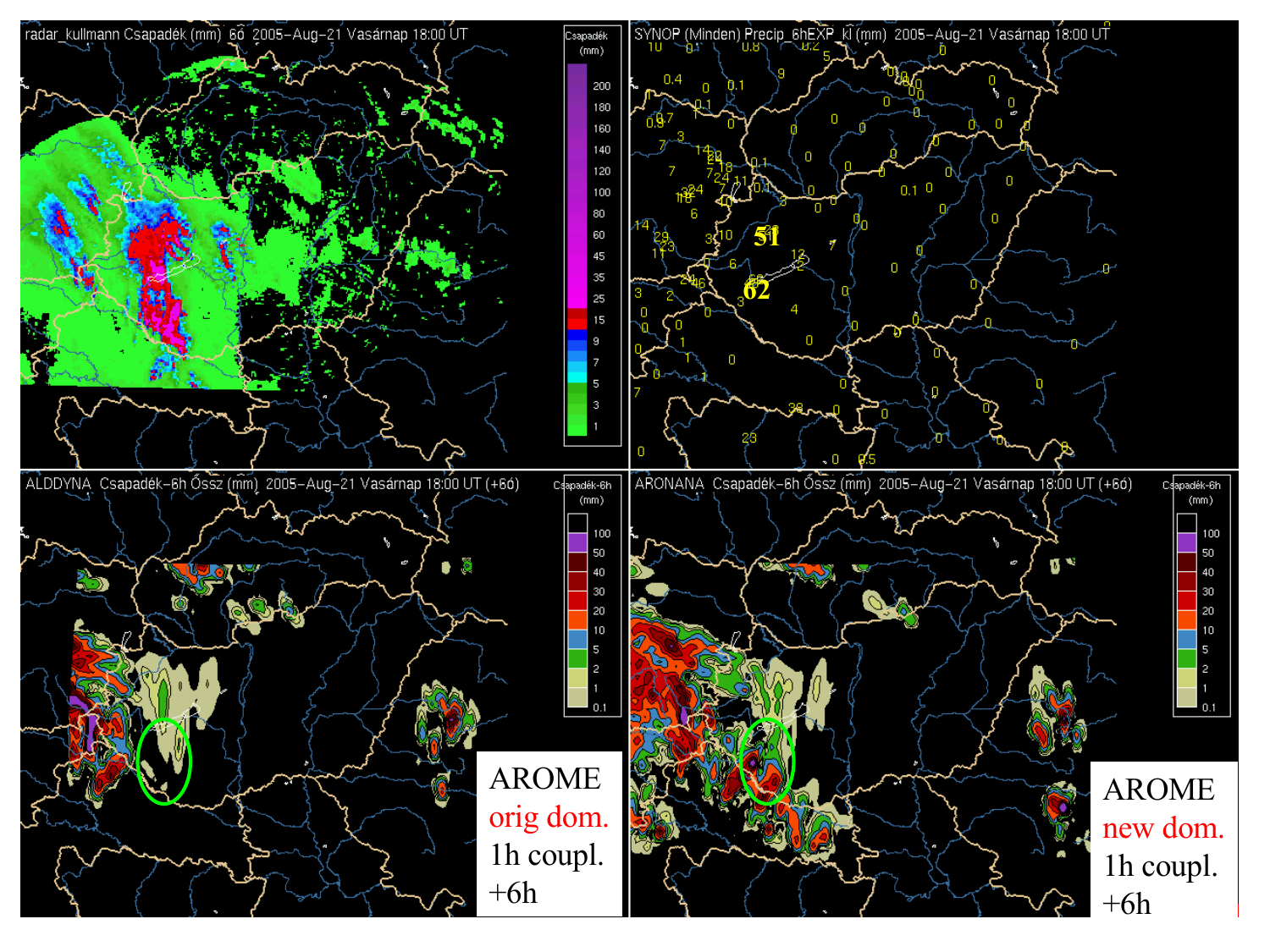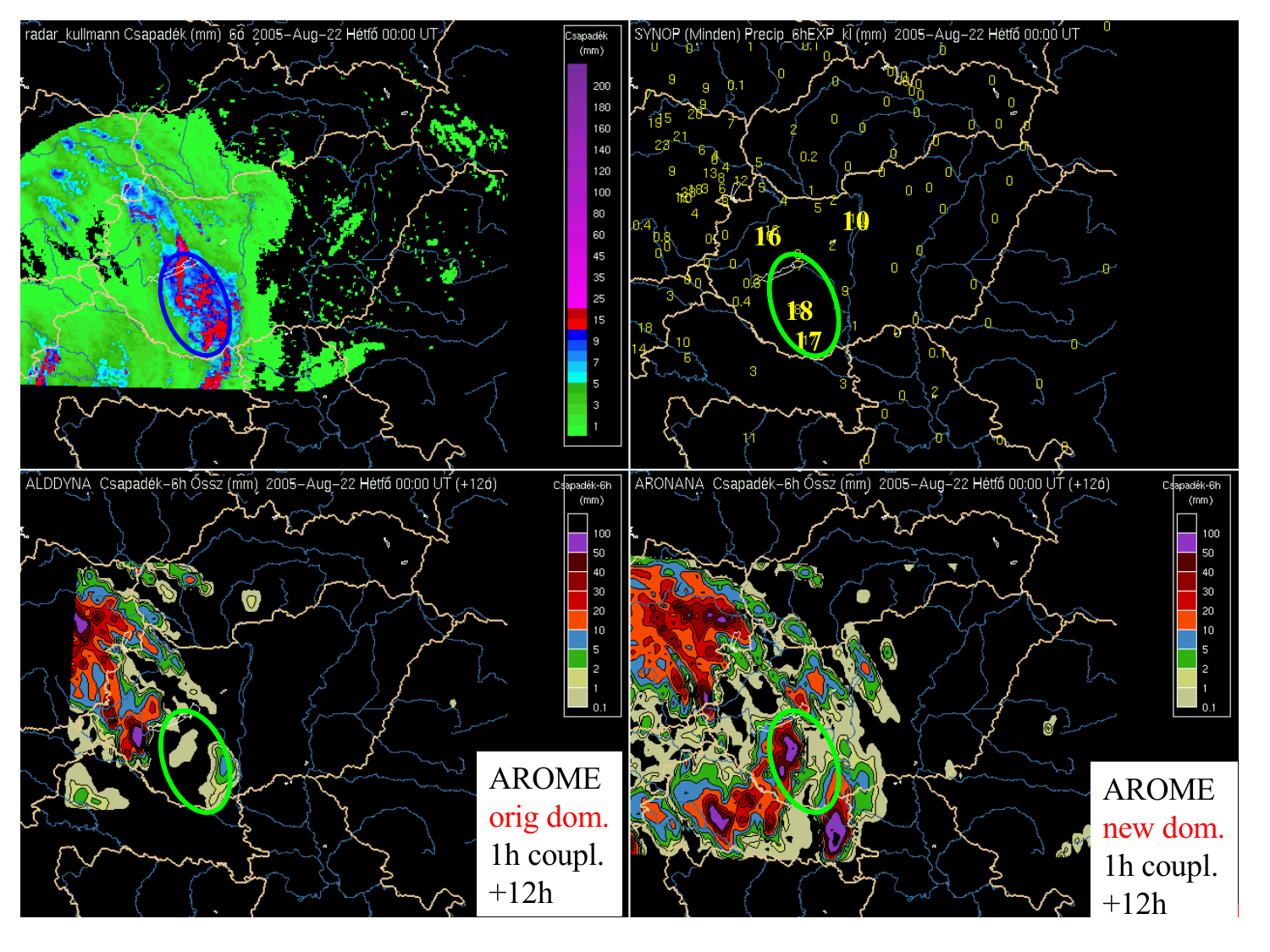